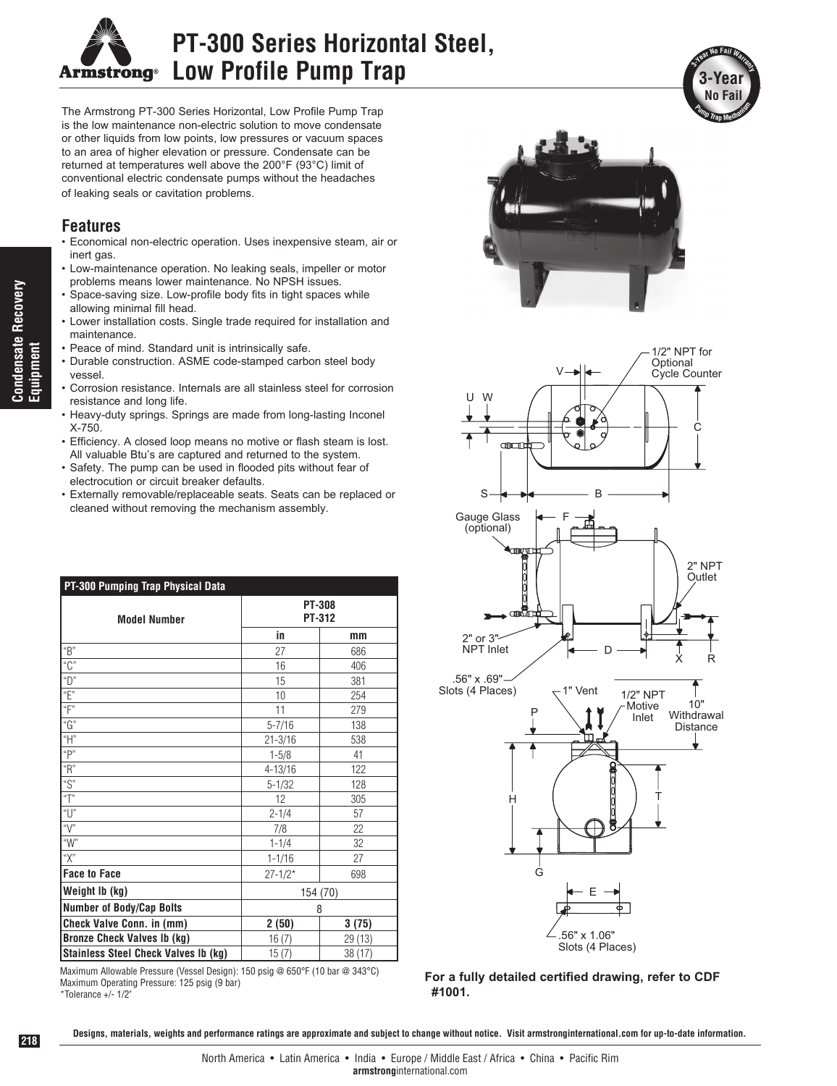

## **PT-300 Series Horizontal Steel, Low Profile Pump Trap**

The Armstrong PT-300 Series Horizontal, Low Profile Pump Trap is the low maintenance non-electric solution to move condensate or other liquids from low points, low pressures or vacuum spaces to an area of higher elevation or pressure. Condensate can be returned at temperatures well above the 200°F (93°C) limit of conventional electric condensate pumps without the headaches of leaking seals or cavitation problems.

## **Features**

- Economical non-electric operation. Uses inexpensive steam, air or inert gas.
- Low-maintenance operation. No leaking seals, impeller or motor problems means lower maintenance. No NPSH issues.
- Space-saving size. Low-profile body fits in tight spaces while allowing minimal fill head.
- Lower installation costs. Single trade required for installation and maintenance.
- Peace of mind. Standard unit is intrinsically safe.
- Durable construction. ASME code-stamped carbon steel body vessel.
- Corrosion resistance. Internals are all stainless steel for corrosion resistance and long life.
- Heavy-duty springs. Springs are made from long-lasting Inconel X-750.
- Efficiency. A closed loop means no motive or flash steam is lost. All valuable Btu's are captured and returned to the system.
- Safety. The pump can be used in flooded pits without fear of electrocution or circuit breaker defaults.
- Externally removable/replaceable seats. Seats can be replaced or cleaned without removing the mechanism assembly.

| PT-300 Pumping Trap Physical Data    |               |         |  |  |
|--------------------------------------|---------------|---------|--|--|
|                                      | <b>PT-308</b> |         |  |  |
| <b>Model Number</b>                  |               | PT-312  |  |  |
|                                      | in            | mm      |  |  |
| "B"                                  | 27            | 686     |  |  |
| "C"                                  | 16            | 406     |  |  |
| "D"                                  | 15            | 381     |  |  |
| "E"                                  | 10            | 254     |  |  |
| "F"                                  | 11            | 279     |  |  |
| "G"                                  | $5 - 7/16$    | 138     |  |  |
| $\mathrm{``H''}$                     | $21 - 3/16$   | 538     |  |  |
| "P"                                  | $1 - 5/8$     | 41      |  |  |
| "R"                                  | 4-13/16       | 122     |  |  |
| "S"                                  | $5 - 1/32$    | 128     |  |  |
| "T"                                  | 12            | 305     |  |  |
| "U"                                  | $2 - 1/4$     | 57      |  |  |
| " $V$ "                              | 7/8           | 22      |  |  |
| "W"                                  | $1 - 1/4$     | 32      |  |  |
| "Х"                                  | $1 - 1/16$    | 27      |  |  |
| <b>Face to Face</b>                  | $27 - 1/2*$   | 698     |  |  |
| Weight Ib (kg)                       | 154 (70)      |         |  |  |
| <b>Number of Body/Cap Bolts</b>      | 8             |         |  |  |
| Check Valve Conn. in (mm)            | 2(50)         | 3(75)   |  |  |
| <b>Bronze Check Valves Ib (kg)</b>   | 16(7)         | 29 (13) |  |  |
| Stainless Steel Check Valves Ib (kg) | 15(7)         | 38 (17) |  |  |

Maximum Allowable Pressure (Vessel Design): 150 psig @ 650°F (10 bar @ 343°C) Maximum Operating Pressure: 125 psig (9 bar) \*Tolerance +/- 1/2"





**For a fully detailed certified drawing, refer to CDF #1001.**

**Condensate Recovery Condensate Recovery Equipment**

**Designs, materials, weights and performance ratings are approximate and subject to change without notice. Visit armstronginternational.com for up-to-date information.**